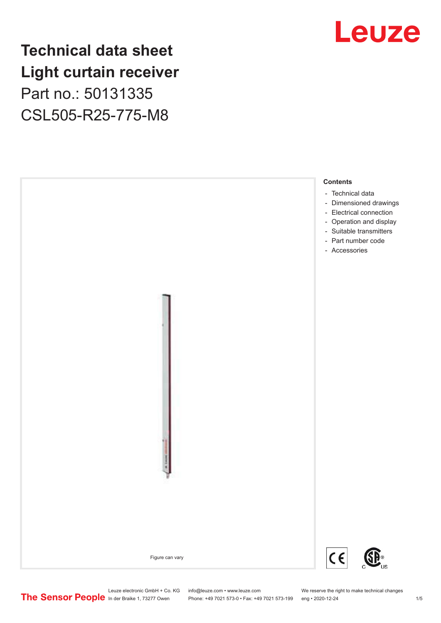### **Technical data sheet Light curtain receiver** Part no.: 50131335 CSL505-R25-775-M8





Leuze electronic GmbH + Co. KG info@leuze.com • www.leuze.com We reserve the right to make technical changes<br>
The Sensor People in der Braike 1, 73277 Owen Phone: +49 7021 573-0 • Fax: +49 7021 573-199 eng • 2020-12-24

Phone: +49 7021 573-0 • Fax: +49 7021 573-199 eng • 2020-12-24 1 2020-12-24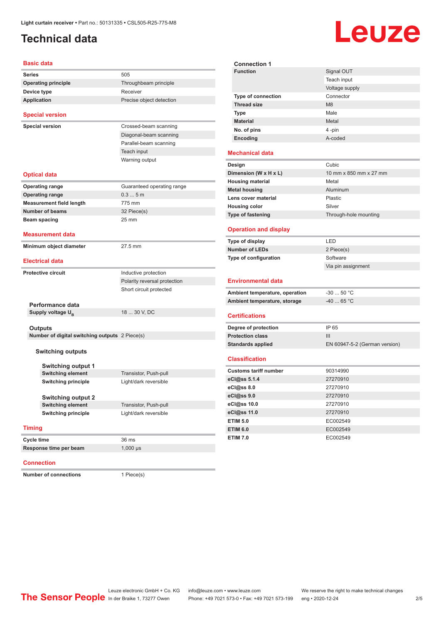### <span id="page-1-0"></span>**Technical data**

# Leuze

**Signal OUT** 

| <b>Basic data</b>                              |                              | <b>Connection 1</b>                             |                             |
|------------------------------------------------|------------------------------|-------------------------------------------------|-----------------------------|
| <b>Series</b>                                  | 505                          | <b>Function</b>                                 | Signal OU1                  |
| <b>Operating principle</b>                     | Throughbeam principle        |                                                 | Teach inpu                  |
| Device type                                    | Receiver                     |                                                 | Voltage sup                 |
| <b>Application</b>                             | Precise object detection     | Type of connection<br><b>Thread size</b>        | Connector<br>M <sub>8</sub> |
|                                                |                              | <b>Type</b>                                     | Male                        |
| <b>Special version</b>                         |                              | <b>Material</b>                                 | Metal                       |
| <b>Special version</b>                         | Crossed-beam scanning        | No. of pins                                     | 4 -pin                      |
|                                                | Diagonal-beam scanning       | Encoding                                        | A-coded                     |
|                                                | Parallel-beam scanning       |                                                 |                             |
|                                                | Teach input                  | <b>Mechanical data</b>                          |                             |
|                                                | Warning output               | Design                                          | Cubic                       |
|                                                |                              |                                                 | 10 mm x 8                   |
| <b>Optical data</b>                            |                              | Dimension (W x H x L)                           | Metal                       |
| <b>Operating range</b>                         | Guaranteed operating range   | <b>Housing material</b><br><b>Metal housing</b> | Aluminum                    |
| <b>Operating range</b>                         | 0.35m                        | Lens cover material                             | Plastic                     |
| <b>Measurement field length</b>                | 775 mm                       | <b>Housing color</b>                            | Silver                      |
| <b>Number of beams</b>                         | 32 Piece(s)                  | Type of fastening                               | Through-ho                  |
| Beam spacing                                   | $25 \text{ mm}$              |                                                 |                             |
| <b>Measurement data</b>                        |                              | <b>Operation and display</b>                    |                             |
|                                                |                              | Type of display                                 | LED                         |
| Minimum object diameter                        | 27.5 mm                      | <b>Number of LEDs</b>                           | 2 Piece(s)                  |
| <b>Electrical data</b>                         |                              | Type of configuration                           | Software                    |
|                                                |                              |                                                 | Via pin ass                 |
| <b>Protective circuit</b>                      | Inductive protection         |                                                 |                             |
|                                                | Polarity reversal protection | <b>Environmental data</b>                       |                             |
|                                                | Short circuit protected      | Ambient temperature, operation                  | $-30$ 50 $^{\circ}$ (       |
| Performance data                               |                              | Ambient temperature, storage                    | $-4065$ °                   |
| Supply voltage U <sub>R</sub>                  | 18  30 V, DC                 | <b>Certifications</b>                           |                             |
|                                                |                              |                                                 |                             |
| <b>Outputs</b>                                 |                              | Degree of protection                            | IP 65                       |
| Number of digital switching outputs 2 Piece(s) |                              | <b>Protection class</b>                         | III                         |
|                                                |                              | <b>Standards applied</b>                        | EN 60947-                   |
| <b>Switching outputs</b>                       |                              | <b>Classification</b>                           |                             |
| <b>Switching output 1</b>                      |                              |                                                 |                             |
| <b>Switching element</b>                       | Transistor, Push-pull        | <b>Customs tariff number</b>                    | 90314990                    |
| <b>Switching principle</b>                     | Light/dark reversible        | eCl@ss 5.1.4                                    | 27270910                    |
|                                                |                              | eCl@ss 8.0                                      | 27270910                    |
| <b>Switching output 2</b>                      |                              | eCl@ss 9.0                                      | 27270910                    |
| <b>Switching element</b>                       | Transistor, Push-pull        | eCl@ss 10.0                                     | 27270910                    |
| <b>Switching principle</b>                     | Light/dark reversible        | eCl@ss 11.0                                     | 27270910                    |
|                                                |                              | <b>ETIM 5.0</b>                                 | EC002549                    |
| <b>Timing</b>                                  |                              | <b>ETIM 6.0</b>                                 | EC002549                    |
| <b>Cycle time</b>                              | 36 ms                        | <b>ETIM 7.0</b>                                 | EC002549                    |
| Response time per beam                         | $1,000$ $\mu s$              |                                                 |                             |
|                                                |                              |                                                 |                             |

#### **Connection**

**Number of connections** 1 Piece(s)

|                                | Teach input                   |
|--------------------------------|-------------------------------|
|                                | Voltage supply                |
| Type of connection             | Connector                     |
| <b>Thread size</b>             | M <sub>8</sub>                |
| <b>Type</b>                    | Male                          |
| <b>Material</b>                | Metal                         |
| No. of pins                    | 4-pin                         |
| Encoding                       | A-coded                       |
| <b>Mechanical data</b>         |                               |
| Design                         | Cubic                         |
| Dimension (W x H x L)          | 10 mm x 850 mm x 27 mm        |
| <b>Housing material</b>        | Metal                         |
| <b>Metal housing</b>           | Aluminum                      |
| Lens cover material            | Plastic                       |
| <b>Housing color</b>           | Silver                        |
| Type of fastening              | Through-hole mounting         |
| <b>Operation and display</b>   |                               |
| Type of display                | LED                           |
| <b>Number of LEDs</b>          | 2 Piece(s)                    |
| Type of configuration          | Software                      |
|                                | Via pin assignment            |
| <b>Environmental data</b>      |                               |
| Ambient temperature, operation | $-30$ 50 °C                   |
| Ambient temperature, storage   | $-40$ 65 °C                   |
| <b>Certifications</b>          |                               |
| Degree of protection           | IP 65                         |
| <b>Protection class</b>        | Ш                             |
| <b>Standards applied</b>       | EN 60947-5-2 (German version) |
| <b>Classification</b>          |                               |
| <b>Customs tariff number</b>   | 90314990                      |
| eCl@ss 5.1.4                   | 27270910                      |
| eCl@ss 8.0                     | 27270910                      |
| eCl@ss 9.0                     | 27270910                      |
| eCl@ss 10.0                    | 27270910                      |
| eCl@ss 11.0                    | 27270910                      |
| <b>ETIM 5.0</b>                | EC002549                      |
| <b>ETIM 6.0</b>                | EC002549                      |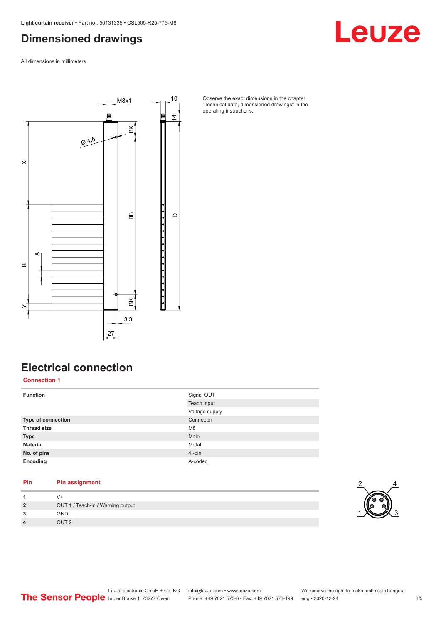### <span id="page-2-0"></span>**Dimensioned drawings**

All dimensions in millimeters



Observe the exact dimensions in the chapter "Technical data, dimensioned drawings" in the operating instructions.

### **Electrical connection**

**Connection 1**

| <b>Function</b>    | Signal OUT<br>Teach input |
|--------------------|---------------------------|
|                    | Voltage supply            |
| Type of connection | Connector                 |
| <b>Thread size</b> | M <sub>8</sub>            |
| <b>Type</b>        | Male                      |
| <b>Material</b>    | Metal                     |
| No. of pins        | 4-pin                     |
| Encoding           | A-coded                   |

### **Pin Pin assignment**

|                | V+                                |  |
|----------------|-----------------------------------|--|
| $\overline{2}$ | OUT 1 / Teach-in / Warning output |  |
| 3              | <b>GND</b>                        |  |
| 4              | OUT 2                             |  |



Leuze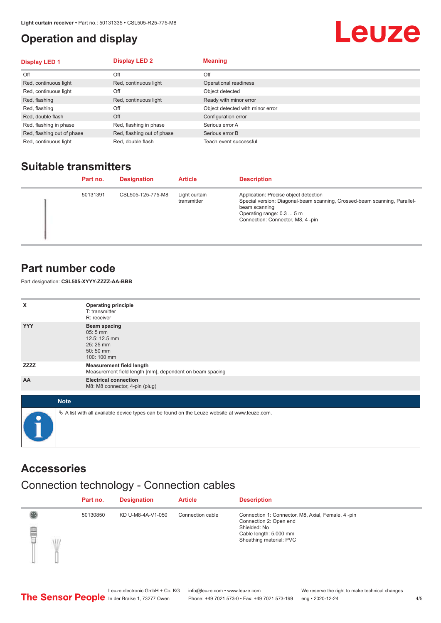### <span id="page-3-0"></span>**Operation and display**

## Leuze

| <b>Display LED 1</b>       | <b>Display LED 2</b>       | <b>Meaning</b>                   |
|----------------------------|----------------------------|----------------------------------|
| Off                        | Off                        | Off                              |
| Red, continuous light      | Red, continuous light      | Operational readiness            |
| Red, continuous light      | Off                        | Object detected                  |
| Red, flashing              | Red, continuous light      | Ready with minor error           |
| Red, flashing              | Off                        | Object detected with minor error |
| Red, double flash          | Off                        | Configuration error              |
| Red, flashing in phase     | Red, flashing in phase     | Serious error A                  |
| Red, flashing out of phase | Red, flashing out of phase | Serious error B                  |
| Red, continuous light      | Red, double flash          | Teach event successful           |

### **Suitable transmitters**

| Part no. | <b>Designation</b> | <b>Article</b>               | <b>Description</b>                                                                                                                                                                                   |
|----------|--------------------|------------------------------|------------------------------------------------------------------------------------------------------------------------------------------------------------------------------------------------------|
| 50131391 | CSL505-T25-775-M8  | Light curtain<br>transmitter | Application: Precise object detection<br>Special version: Diagonal-beam scanning, Crossed-beam scanning, Parallel-<br>beam scanning<br>Operating range: 0.3  5 m<br>Connection: Connector, M8, 4-pin |

### **Part number code**

Part designation: **CSL505-XYYY-ZZZZ-AA-BBB**

| x           | <b>Operating principle</b><br>T: transmitter<br>R: receiver                                     |
|-------------|-------------------------------------------------------------------------------------------------|
| <b>YYY</b>  | <b>Beam spacing</b><br>$05:5$ mm<br>12.5: 12.5 mm<br>25:25 mm<br>50:50 mm<br>100: 100 mm        |
| <b>ZZZZ</b> | <b>Measurement field length</b><br>Measurement field length [mm], dependent on beam spacing     |
| AA          | <b>Electrical connection</b><br>M8: M8 connector, 4-pin (plug)                                  |
| <b>Note</b> |                                                                                                 |
| $\bullet$   | $\&$ A list with all available device types can be found on the Leuze website at www.leuze.com. |

### **Accessories**

### Connection technology - Connection cables

|        | Part no. | <b>Designation</b> | <b>Article</b>   | <b>Description</b>                                                                                                                               |
|--------|----------|--------------------|------------------|--------------------------------------------------------------------------------------------------------------------------------------------------|
| §<br>Ŵ | 50130850 | KD U-M8-4A-V1-050  | Connection cable | Connection 1: Connector, M8, Axial, Female, 4-pin<br>Connection 2: Open end<br>Shielded: No<br>Cable length: 5,000 mm<br>Sheathing material: PVC |